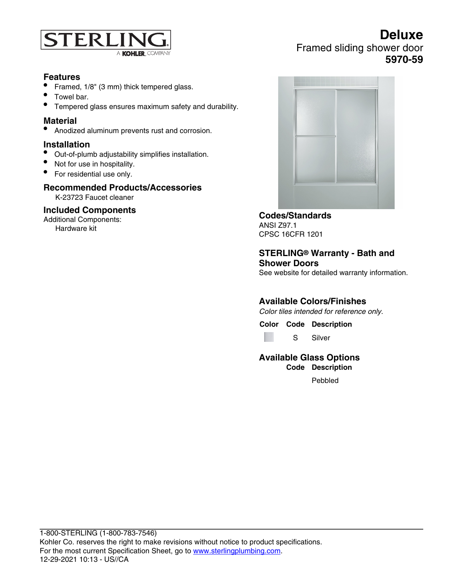

# **Features**

- Framed, 1/8" (3 mm) thick tempered glass.
- Towel bar.
- Tempered glass ensures maximum safety and durability.

# **Material**

• Anodized aluminum prevents rust and corrosion.

#### **Installation**

- Out-of-plumb adjustability simplifies installation.
- Not for use in hospitality.
- For residential use only.

### **Recommended Products/Accessories**

K-23723 Faucet cleaner

#### **Included Components**

Additional Components: Hardware kit



Framed sliding shower door

**Deluxe**

**5970-59**

**Codes/Standards** ANSI Z97.1 CPSC 16CFR 1201

**STERLING® Warranty - Bath and Shower Doors**

See website for detailed warranty information.

# **Available Colors/Finishes**

Color tiles intended for reference only.

**Color Code Description**

S Silver

#### **Available Glass Options Code Description**

Pebbled